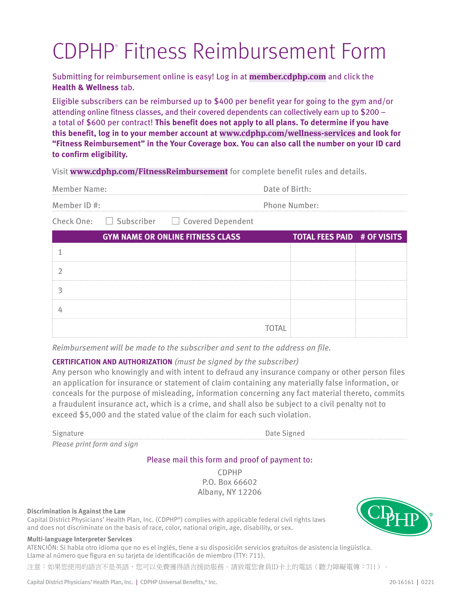# CDPHP® Fitness Reimbursement Form

 Submitting for reimbursement online is easy! Log in at **[member.cdphp.com](https://member.cdphp.com)** and click the **Health & Wellness** tab.

 attending online fitness classes, and their covered dependents can collectively earn up to \$200 – a total of \$600 per contract! **This benefit does not apply to all plans. To determine if you have this benefit, log in to your member account at <www.cdphp.com/wellness-services> and look for**  Eligible subscribers can be reimbursed up to \$400 per benefit year for going to the gym and/or **"Fitness Reimbursement" in the Your Coverage box. You can also call the number on your ID card to confirm eligibility.** 

Visit **[www.cdphp.com/FitnessReimbursement](http://www.cdphp.com/GymReimbursement)** for complete benefit rules and details.

| Member Name: | Date of Birth:       |
|--------------|----------------------|
| Member ID#:  | <b>Phone Number:</b> |

Member ID #: Phone Number: Phone Number:<br>Check One:  $\Box$  Subscriber  $\Box$  Covered Dependent

| <b>GYM NAME OR ONLINE FITNESS CLASS</b> | <b>TOTAL FEES PAID # OF VISITS</b> |  |
|-----------------------------------------|------------------------------------|--|
|                                         |                                    |  |
|                                         |                                    |  |
|                                         |                                    |  |
|                                         |                                    |  |
| <b>TOTAL</b>                            |                                    |  |

 *Reimbursement will be made to the subscriber and sent to the address on file.* 

# **CERTIFICATION AND AUTHORIZATION** *(must be signed by the subscriber)*

 Any person who knowingly and with intent to defraud any insurance company or other person files an application for insurance or statement of claim containing any materially false information, or conceals for the purpose of misleading, information concerning any fact material thereto, commits a fraudulent insurance act, which is a crime, and shall also be subject to a civil penalty not to exceed \$5,000 and the stated value of the claim for each such violation.

Signature

*Please print form and sign* 

Date Signed

#### Please mail this form and proof of payment to:

CDPHP P.O. Box 66602 Albany, NY 12206

#### **Discrimination is Against the Law**

Capital District Physicians' Health Plan, Inc. (CDPHP®) complies with applicable federal civil rights laws and does not discriminate on the basis of race, color, national origin, age, disability, or sex.

#### **Multi-language Interpreter Services**

ATENCIÓN: Si habla otro idioma que no es el inglés, tiene a su disposición servicios gratuitos de asistencia lingüística. Llame al número que figura en su tarjeta de identificación de miembro (TTY: 711).

注意:如果您使用的語言不是英語,您可以免費獲得語言援助服務。請致電您會員ID卡上的電話(聽力障礙電傳:711)。

Capital District Physicians' Health Plan, Inc. | CDPHP Universal Benefits,<sup>®</sup> Inc. 20-16161 | 0221

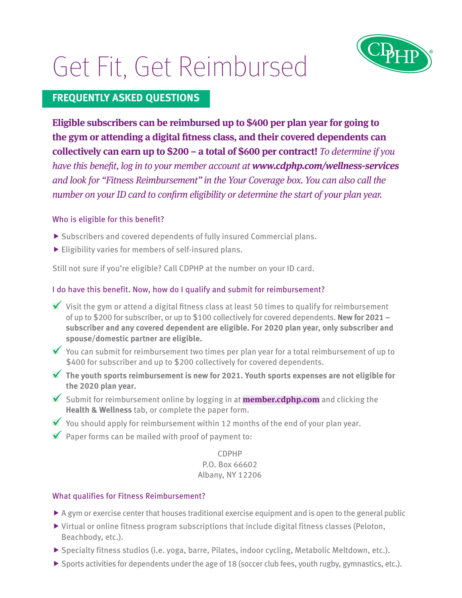# Get Fit, Get Reimbursed



# **FREQUENTLY ASKED QUESTIONS**

**Eligible subscribers can be reimbursed up to \$400 per plan year for going to the gym or attending a digital fitness class, and their covered dependents can collectively can earn up to \$200 – a total of \$600 per contract!** *To determine if you have this benefit, log in to your member account at <www.cdphp.com/wellness-services> and look for "Fitness Reimbursement" in the Your Coverage box. You can also call the number on your ID card to confirm eligibility or determine the start of your plan year.*

## Who is eligible for this benefit?

- $\blacktriangleright$  Subscribers and covered dependents of fully insured Commercial plans.
- $\blacktriangleright$  Eligibility varies for members of self-insured plans.

Still not sure if you're eligible? Call CDPHP at the number on your ID card.

## I do have this benefit. Now, how do I qualify and submit for reimbursement?

- Visit the gym or attend a digital fitness class at least 50 times to qualify for reimbursement of up to \$200 for subscriber, or up to \$100 collectively for covered dependents. **New for 2021 – subscriber and any covered dependent are eligible. For 2020 plan year, only subscriber and spouse/domestic partner are eligible.**
- You can submit for reimbursement two times per plan year for a total reimbursement of up to \$400 for subscriber and up to \$200 collectively for covered dependents.
- **The youth sports reimbursement is new for 2021. Youth sports expenses are not eligible for the 2020 plan year.**
- Submit for reimbursement online by logging in at **[member.cdphp.com](https://member.cdphp.com)** and clicking the **Health & Wellness** tab, or complete the paper form.
- You should apply for reimbursement within 12 months of the end of your plan year.
- $\blacktriangleright$  Paper forms can be mailed with proof of payment to:

## CDPHP P.O. Box 66602 Albany, NY 12206

# What qualifies for Fitness Reimbursement?

- $\triangleright$  A gym or exercise center that houses traditional exercise equipment and is open to the general public
- $\triangleright$  Virtual or online fitness program subscriptions that include digital fitness classes (Peloton, Beachbody, etc.).
- $\blacktriangleright$  Specialty fitness studios (i.e. yoga, barre, Pilates, indoor cycling, Metabolic Meltdown, etc.).
- $\triangleright$  Sports activities for dependents under the age of 18 (soccer club fees, youth rugby, gymnastics, etc.).